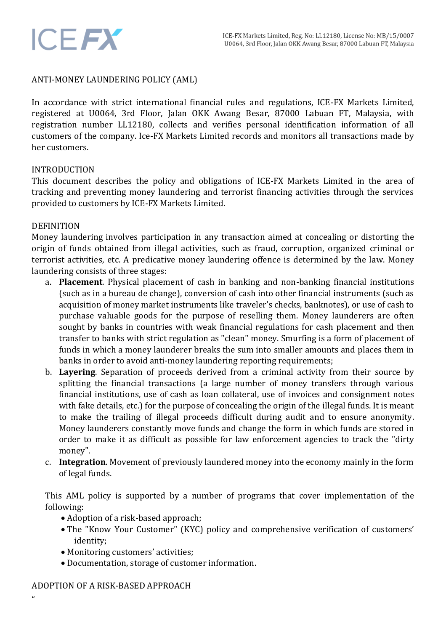# ANTI-MONEY LAUNDERING POLICY (AML)

In accordance with strict international financial rules and regulations, ICE-FX Markets Limited, registered at U0064, 3rd Floor, Jalan OKK Awang Besar, 87000 Labuan FT, Malaysia, with registration number LL12180, collects and verifies personal identification information of all customers of the company. Ice-FX Markets Limited records and monitors all transactions made by her customers.

# INTRODUCTION

**ICEFX** 

This document describes the policy and obligations of ICE-FX Markets Limited in the area of tracking and preventing money laundering and terrorist financing activities through the services provided to customers by ICE-FX Markets Limited.

#### DEFINITION

Money laundering involves participation in any transaction aimed at concealing or distorting the origin of funds obtained from illegal activities, such as fraud, corruption, organized criminal or terrorist activities, etc. A predicative money laundering offence is determined by the law. Money laundering consists of three stages:

- a. **Placement**. Physical placement of cash in banking and non-banking financial institutions (such as in a bureau de change), conversion of cash into other financial instruments (such as acquisition of money market instruments like traveler's checks, banknotes), or use of cash to purchase valuable goods for the purpose of reselling them. Money launderers are often sought by banks in countries with weak financial regulations for cash placement and then transfer to banks with strict regulation as "clean" money. Smurfing is a form of placement of funds in which a money launderer breaks the sum into smaller amounts and places them in banks in order to avoid anti-money laundering reporting requirements;
- b. **Layering**. Separation of proceeds derived from a criminal activity from their source by splitting the financial transactions (a large number of money transfers through various financial institutions, use of cash as loan collateral, use of invoices and consignment notes with fake details, etc.) for the purpose of concealing the origin of the illegal funds. It is meant to make the trailing of illegal proceeds difficult during audit and to ensure anonymity. Money launderers constantly move funds and change the form in which funds are stored in order to make it as difficult as possible for law enforcement agencies to track the "dirty money".
- c. **Integration**. Movement of previously laundered money into the economy mainly in the form of legal funds.

This AML policy is supported by a number of programs that cover implementation of the following:

- Adoption of a risk-based approach;
- The "Know Your Customer" (KYC) policy and comprehensive verification of customers' identity;
- Monitoring customers' activities;
- Documentation, storage of customer information.

#### ADOPTION OF A RISK-BASED APPROACH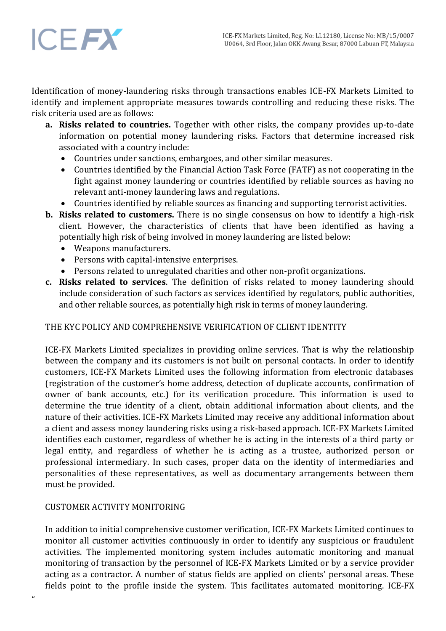# **ICEFX**

Identification of money-laundering risks through transactions enables ICE-FX Markets Limited to identify and implement appropriate measures towards controlling and reducing these risks. The risk criteria used are as follows:

- **a. Risks related to countries.** Together with other risks, the company provides up-to-date information on potential money laundering risks. Factors that determine increased risk associated with a country include:
	- Countries under sanctions, embargoes, and other similar measures.
	- Countries identified by the Financial Action Task Force (FATF) as not cooperating in the fight against money laundering or countries identified by reliable sources as having no relevant anti-money laundering laws and regulations.
	- Countries identified by reliable sources as financing and supporting terrorist activities.
- **b. Risks related to customers.** There is no single consensus on how to identify a high-risk client. However, the characteristics of clients that have been identified as having a potentially high risk of being involved in money laundering are listed below:
	- Weapons manufacturers.
	- Persons with capital-intensive enterprises.
	- Persons related to unregulated charities and other non-profit organizations.
- **c. Risks related to services**. The definition of risks related to money laundering should include consideration of such factors as services identified by regulators, public authorities, and other reliable sources, as potentially high risk in terms of money laundering.

# THE KYC POLICY AND COMPREHENSIVE VERIFICATION OF CLIENT IDENTITY

ICE-FX Markets Limited specializes in providing online services. That is why the relationship between the company and its customers is not built on personal contacts. In order to identify customers, ICE-FX Markets Limited uses the following information from electronic databases (registration of the customer's home address, detection of duplicate accounts, confirmation of owner of bank accounts, etc.) for its verification procedure. This information is used to determine the true identity of a client, obtain additional information about clients, and the nature of their activities. ICE-FX Markets Limited may receive any additional information about a client and assess money laundering risks using a risk-based approach. ICE-FX Markets Limited identifies each customer, regardless of whether he is acting in the interests of a third party or legal entity, and regardless of whether he is acting as a trustee, authorized person or professional intermediary. In such cases, proper data on the identity of intermediaries and personalities of these representatives, as well as documentary arrangements between them must be provided.

# CUSTOMER ACTIVITY MONITORING

In addition to initial comprehensive customer verification, ICE-FX Markets Limited continues to monitor all customer activities continuously in order to identify any suspicious or fraudulent activities. The implemented monitoring system includes automatic monitoring and manual monitoring of transaction by the personnel of ICE-FX Markets Limited or by a service provider acting as a contractor. A number of status fields are applied on clients' personal areas. These fields point to the profile inside the system. This facilitates automated monitoring. ICE-FX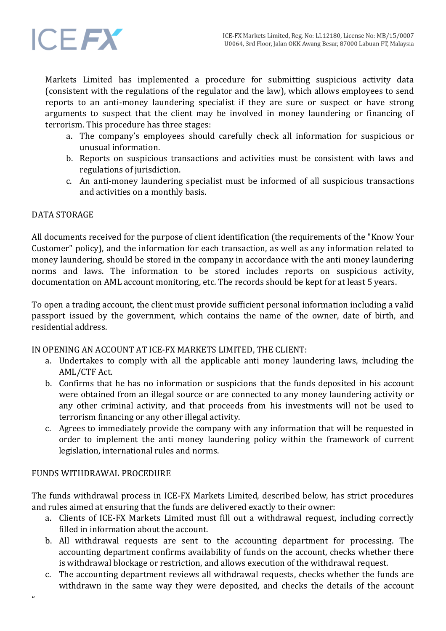

Markets Limited has implemented a procedure for submitting suspicious activity data (consistent with the regulations of the regulator and the law), which allows employees to send reports to an anti-money laundering specialist if they are sure or suspect or have strong arguments to suspect that the client may be involved in money laundering or financing of terrorism. This procedure has three stages:

- a. The company's employees should carefully check all information for suspicious or unusual information.
- b. Reports on suspicious transactions and activities must be consistent with laws and regulations of jurisdiction.
- c. An anti-money laundering specialist must be informed of all suspicious transactions and activities on a monthly basis.

# DATA STORAGE

All documents received for the purpose of client identification (the requirements of the "Know Your Customer" policy), and the information for each transaction, as well as any information related to money laundering, should be stored in the company in accordance with the anti money laundering norms and laws. The information to be stored includes reports on suspicious activity, documentation on AML account monitoring, etc. The records should be kept for at least 5 years.

To open a trading account, the client must provide sufficient personal information including a valid passport issued by the government, which contains the name of the owner, date of birth, and residential address.

IN OPENING AN ACCOUNT AT ICE-FX MARKETS LIMITED, THE CLIENT:

- a. Undertakes to comply with all the applicable anti money laundering laws, including the AML/CTF Act.
- b. Confirms that he has no information or suspicions that the funds deposited in his account were obtained from an illegal source or are connected to any money laundering activity or any other criminal activity, and that proceeds from his investments will not be used to terrorism financing or any other illegal activity.
- c. Agrees to immediately provide the company with any information that will be requested in order to implement the anti money laundering policy within the framework of current legislation, international rules and norms.

# FUNDS WITHDRAWAL PROCEDURE

The funds withdrawal process in ICE-FX Markets Limited, described below, has strict procedures and rules aimed at ensuring that the funds are delivered exactly to their owner:

- a. Clients of ICE-FX Markets Limited must fill out a withdrawal request, including correctly filled in information about the account.
- b. All withdrawal requests are sent to the accounting department for processing. The accounting department confirms availability of funds on the account, checks whether there is withdrawal blockage or restriction, and allows execution of the withdrawal request.
- c. The accounting department reviews all withdrawal requests, checks whether the funds are withdrawn in the same way they were deposited, and checks the details of the account